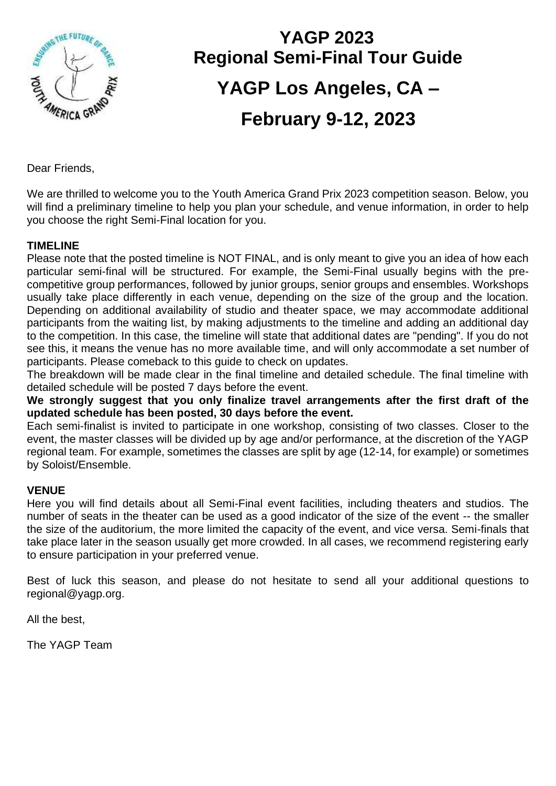

# **YAGP 2023 Regional Semi-Final Tour Guide YAGP Los Angeles, CA – February 9-12, 2023**

Dear Friends,

We are thrilled to welcome you to the Youth America Grand Prix 2023 competition season. Below, you will find a preliminary timeline to help you plan your schedule, and venue information, in order to help you choose the right Semi-Final location for you.

#### **TIMELINE**

Please note that the posted timeline is NOT FINAL, and is only meant to give you an idea of how each particular semi-final will be structured. For example, the Semi-Final usually begins with the precompetitive group performances, followed by junior groups, senior groups and ensembles. Workshops usually take place differently in each venue, depending on the size of the group and the location. Depending on additional availability of studio and theater space, we may accommodate additional participants from the waiting list, by making adjustments to the timeline and adding an additional day to the competition. In this case, the timeline will state that additional dates are "pending". If you do not see this, it means the venue has no more available time, and will only accommodate a set number of participants. Please comeback to this guide to check on updates.

The breakdown will be made clear in the final timeline and detailed schedule. The final timeline with detailed schedule will be posted 7 days before the event.

**We strongly suggest that you only finalize travel arrangements after the first draft of the updated schedule has been posted, 30 days before the event.** 

Each semi-finalist is invited to participate in one workshop, consisting of two classes. Closer to the event, the master classes will be divided up by age and/or performance, at the discretion of the YAGP regional team. For example, sometimes the classes are split by age (12-14, for example) or sometimes by Soloist/Ensemble.

#### **VENUE**

Here you will find details about all Semi-Final event facilities, including theaters and studios. The number of seats in the theater can be used as a good indicator of the size of the event -- the smaller the size of the auditorium, the more limited the capacity of the event, and vice versa. Semi-finals that take place later in the season usually get more crowded. In all cases, we recommend registering early to ensure participation in your preferred venue.

Best of luck this season, and please do not hesitate to send all your additional questions to regional@yagp.org.

All the best,

The YAGP Team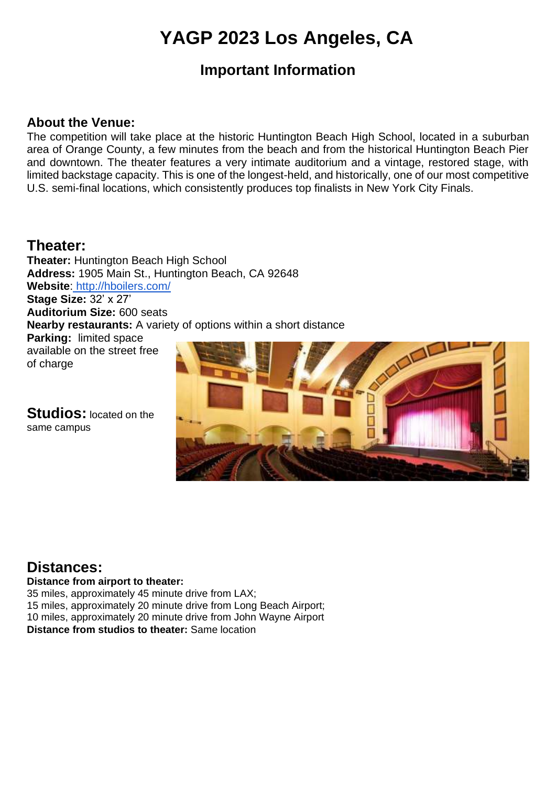## **YAGP 2023 Los Angeles, CA**

## **Important Information**

#### **About the Venue:**

The competition will take place at the historic Huntington Beach High School, located in a suburban area of Orange County, a few minutes from the beach and from the historical Huntington Beach Pier and downtown. The theater features a very intimate auditorium and a vintage, restored stage, with limited backstage capacity. This is one of the longest-held, and historically, one of our most competitive U.S. semi-final locations, which consistently produces top finalists in New York City Finals.

## **Theater:**

**Theater:** Huntington Beach High School **Address:** 1905 Main St., Huntington Beach, CA 92648 **Website**: <http://hboilers.com/> **Stage Size:** 32' x 27' **Auditorium Size:** 600 seats **Nearby restaurants:** A variety of options within a short distance **Parking:** limited space available on the street free of charge

**Studios:** located on the same campus



## **Distances:**

**Distance from airport to theater:**

35 miles, approximately 45 minute drive from LAX; 15 miles, approximately 20 minute drive from Long Beach Airport; 10 miles, approximately 20 minute drive from John Wayne Airport **Distance from studios to theater:** Same location